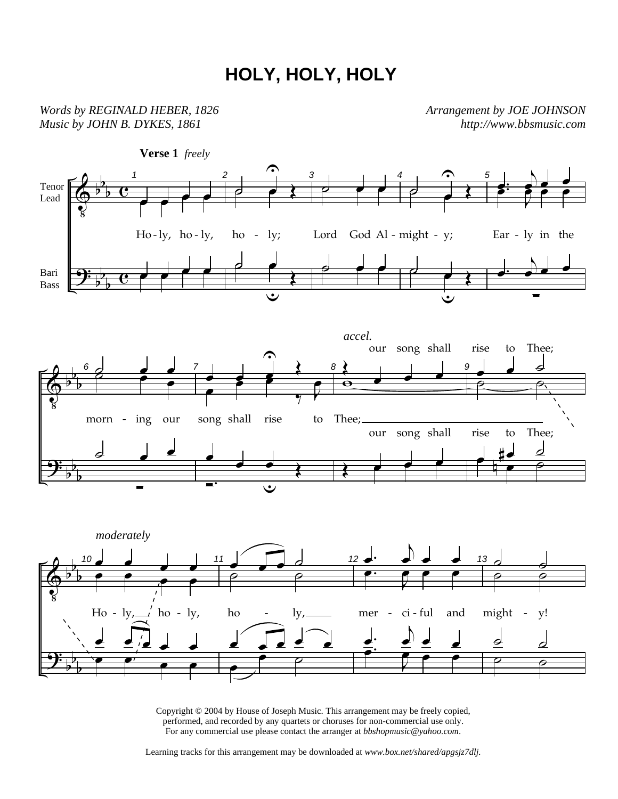## **HOLY, HOLY, HOLY**

*Words by REGINALD HEBER, 1826 Music by JOHN B. DYKES, 1861* 

*Arrangement by JOE JOHNSON http://www.bbsmusic.com*



Copyright © 2004 by House of Joseph Music. This arrangement may be freely copied, performed, and recorded by any quartets or choruses for non-commercial use only. For any commercial use please contact the arranger at *bbshopmusic@yahoo.com*.

Learning tracks for this arrangement may be downloaded at *www.box.net/shared/apgsjz7dlj.*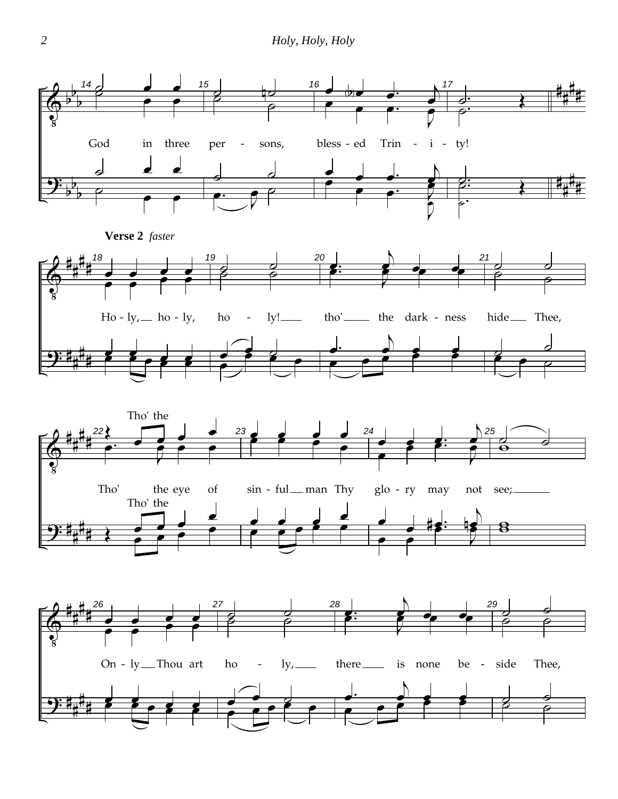